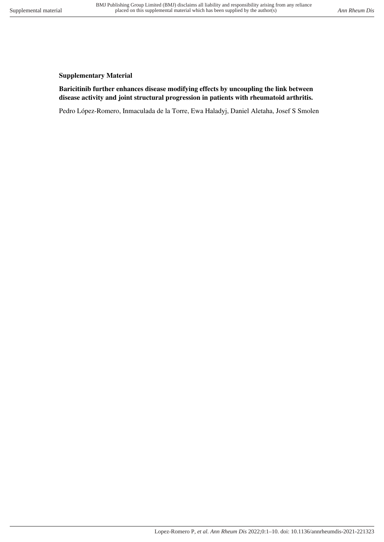## **Supplementary Material**

## **Baricitinib further enhances disease modifying effects by uncoupling the link between disease activity and joint structural progression in patients with rheumatoid arthritis.**

Pedro López-Romero, Inmaculada de la Torre, Ewa Haladyj, Daniel Aletaha, Josef S Smolen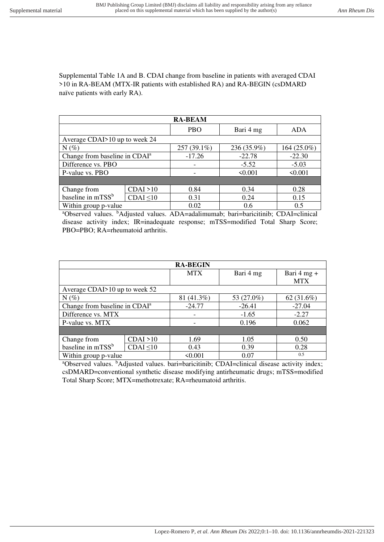Supplemental Table 1A and B. CDAI change from baseline in patients with averaged CDAI >10 in RA-BEAM (MTX-IR patients with established RA) and RA-BEGIN (csDMARD naïve patients with early RA).

| <b>RA-BEAM</b>                            |                |             |             |              |
|-------------------------------------------|----------------|-------------|-------------|--------------|
|                                           |                | <b>PBO</b>  | Bari 4 mg   | <b>ADA</b>   |
| Average CDAI>10 up to week 24             |                |             |             |              |
| $N(\%)$                                   |                | 257 (39.1%) | 236 (35.9%) | 164 (25.0%)  |
| Change from baseline in CDAI <sup>a</sup> |                | $-17.26$    | $-22.78$    | $-22.30$     |
| Difference vs. PBO                        |                |             | $-5.52$     | $-5.03$      |
| P-value vs. PBO                           |                |             | < 0.001     | $\leq 0.001$ |
|                                           |                |             |             |              |
| Change from                               | CDAI > 10      | 0.84        | 0.34        | 0.28         |
| baseline in mTSS <sup>b</sup>             | $CDAI \leq 10$ | 0.31        | 0.24        | 0.15         |
| Within group p-value                      |                | 0.02        | 0.6         | 0.5          |

<sup>a</sup>Observed values. <sup>b</sup>Adjusted values. ADA=adalimumab; bari=baricitinib; CDAI=clinical disease activity index; IR=inadequate response; mTSS=modified Total Sharp Score; PBO=PBO; RA=rheumatoid arthritis.

|                                           |                | <b>RA-BEGIN</b> |            |               |
|-------------------------------------------|----------------|-----------------|------------|---------------|
|                                           |                | <b>MTX</b>      | Bari 4 mg  | Bari $4$ mg + |
|                                           |                |                 |            | <b>MTX</b>    |
| Average CDAI>10 up to week 52             |                |                 |            |               |
| $N(\%)$                                   |                | 81 (41.3%)      | 53 (27.0%) | 62 $(31.6\%)$ |
| Change from baseline in CDAI <sup>a</sup> |                | $-24.77$        | $-26.41$   | $-27.04$      |
| Difference vs. MTX                        |                |                 | $-1.65$    | $-2.27$       |
| P-value vs. MTX                           |                |                 | 0.196      | 0.062         |
|                                           |                |                 |            |               |
| Change from                               | CDAI > 10      | 1.69            | 1.05       | 0.50          |
| baseline in mTSS <sup>b</sup>             | $CDAI \leq 10$ | 0.43            | 0.39       | 0.28          |
| Within group p-value                      |                | < 0.001         | 0.07       | 0.5           |

<sup>a</sup>Observed values. <sup>b</sup>Adjusted values. bari=baricitinib; CDAI=clinical disease activity index; csDMARD=conventional synthetic disease modifying antirheumatic drugs; mTSS=modified Total Sharp Score; MTX=methotrexate; RA=rheumatoid arthritis.